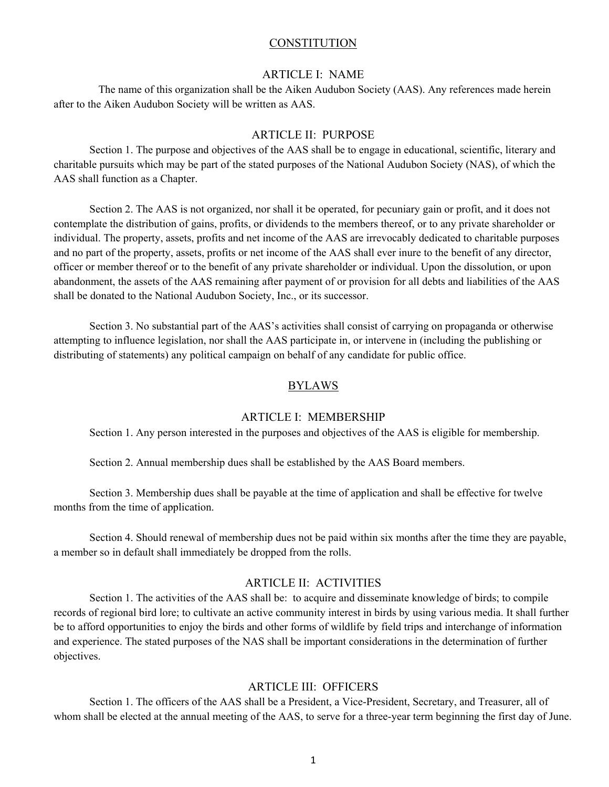#### **CONSTITUTION**

#### ARTICLE I: NAME

 The name of this organization shall be the Aiken Audubon Society (AAS). Any references made herein after to the Aiken Audubon Society will be written as AAS.

#### ARTICLE II: PURPOSE

Section 1. The purpose and objectives of the AAS shall be to engage in educational, scientific, literary and charitable pursuits which may be part of the stated purposes of the National Audubon Society (NAS), of which the AAS shall function as a Chapter.

Section 2. The AAS is not organized, nor shall it be operated, for pecuniary gain or profit, and it does not contemplate the distribution of gains, profits, or dividends to the members thereof, or to any private shareholder or individual. The property, assets, profits and net income of the AAS are irrevocably dedicated to charitable purposes and no part of the property, assets, profits or net income of the AAS shall ever inure to the benefit of any director, officer or member thereof or to the benefit of any private shareholder or individual. Upon the dissolution, or upon abandonment, the assets of the AAS remaining after payment of or provision for all debts and liabilities of the AAS shall be donated to the National Audubon Society, Inc., or its successor.

Section 3. No substantial part of the AAS's activities shall consist of carrying on propaganda or otherwise attempting to influence legislation, nor shall the AAS participate in, or intervene in (including the publishing or distributing of statements) any political campaign on behalf of any candidate for public office.

### BYLAWS

#### ARTICLE I: MEMBERSHIP

Section 1. Any person interested in the purposes and objectives of the AAS is eligible for membership.

Section 2. Annual membership dues shall be established by the AAS Board members.

Section 3. Membership dues shall be payable at the time of application and shall be effective for twelve months from the time of application.

Section 4. Should renewal of membership dues not be paid within six months after the time they are payable, a member so in default shall immediately be dropped from the rolls.

## ARTICLE II: ACTIVITIES

Section 1. The activities of the AAS shall be: to acquire and disseminate knowledge of birds; to compile records of regional bird lore; to cultivate an active community interest in birds by using various media. It shall further be to afford opportunities to enjoy the birds and other forms of wildlife by field trips and interchange of information and experience. The stated purposes of the NAS shall be important considerations in the determination of further objectives.

### ARTICLE III: OFFICERS

Section 1. The officers of the AAS shall be a President, a Vice-President, Secretary, and Treasurer, all of whom shall be elected at the annual meeting of the AAS, to serve for a three-year term beginning the first day of June.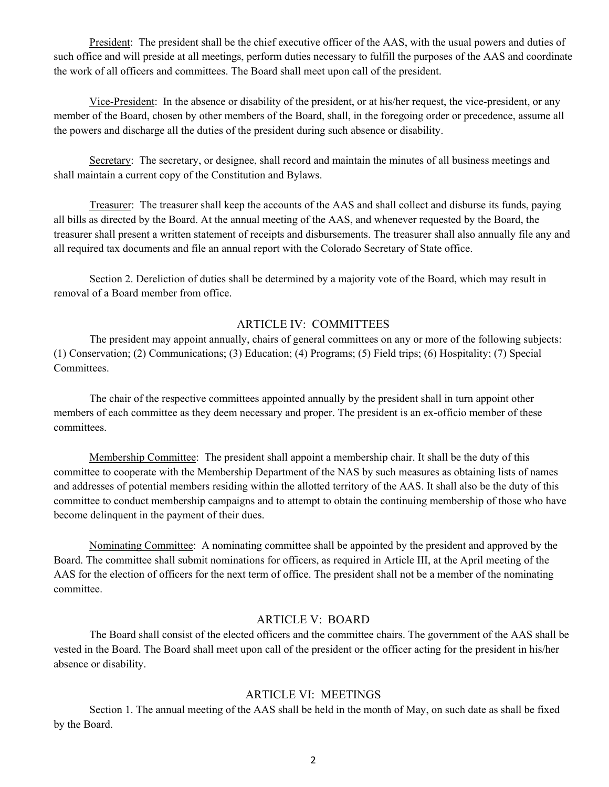President: The president shall be the chief executive officer of the AAS, with the usual powers and duties of such office and will preside at all meetings, perform duties necessary to fulfill the purposes of the AAS and coordinate the work of all officers and committees. The Board shall meet upon call of the president.

Vice-President: In the absence or disability of the president, or at his/her request, the vice-president, or any member of the Board, chosen by other members of the Board, shall, in the foregoing order or precedence, assume all the powers and discharge all the duties of the president during such absence or disability.

Secretary: The secretary, or designee, shall record and maintain the minutes of all business meetings and shall maintain a current copy of the Constitution and Bylaws.

Treasurer: The treasurer shall keep the accounts of the AAS and shall collect and disburse its funds, paying all bills as directed by the Board. At the annual meeting of the AAS, and whenever requested by the Board, the treasurer shall present a written statement of receipts and disbursements. The treasurer shall also annually file any and all required tax documents and file an annual report with the Colorado Secretary of State office.

Section 2. Dereliction of duties shall be determined by a majority vote of the Board, which may result in removal of a Board member from office.

# ARTICLE IV: COMMITTEES

The president may appoint annually, chairs of general committees on any or more of the following subjects: (1) Conservation; (2) Communications; (3) Education; (4) Programs; (5) Field trips; (6) Hospitality; (7) Special Committees.

The chair of the respective committees appointed annually by the president shall in turn appoint other members of each committee as they deem necessary and proper. The president is an ex-officio member of these committees.

Membership Committee: The president shall appoint a membership chair. It shall be the duty of this committee to cooperate with the Membership Department of the NAS by such measures as obtaining lists of names and addresses of potential members residing within the allotted territory of the AAS. It shall also be the duty of this committee to conduct membership campaigns and to attempt to obtain the continuing membership of those who have become delinquent in the payment of their dues.

Nominating Committee: A nominating committee shall be appointed by the president and approved by the Board. The committee shall submit nominations for officers, as required in Article III, at the April meeting of the AAS for the election of officers for the next term of office. The president shall not be a member of the nominating committee.

## ARTICLE V: BOARD

The Board shall consist of the elected officers and the committee chairs. The government of the AAS shall be vested in the Board. The Board shall meet upon call of the president or the officer acting for the president in his/her absence or disability.

# ARTICLE VI: MEETINGS

Section 1. The annual meeting of the AAS shall be held in the month of May, on such date as shall be fixed by the Board.